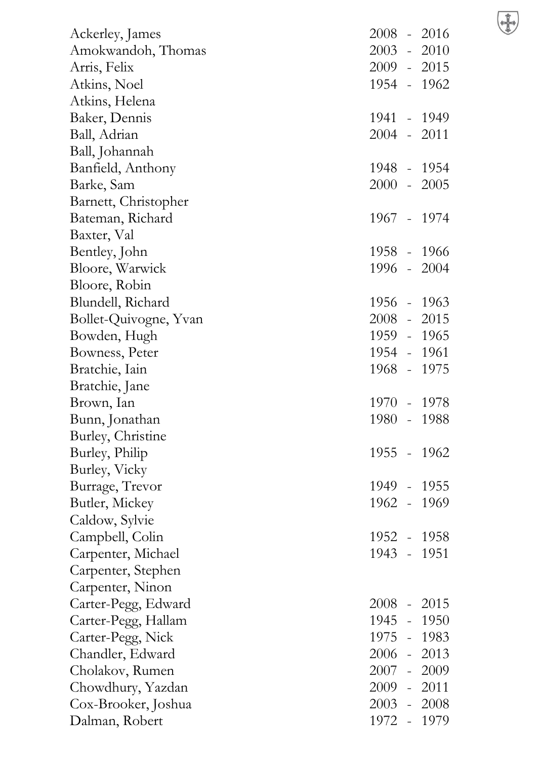| Ackerley, James       | 2008 - 2016   |  |
|-----------------------|---------------|--|
| Amokwandoh, Thomas    | $2003 - 2010$ |  |
| Arris, Felix          | 2009 - 2015   |  |
| Atkins, Noel          | 1954 - 1962   |  |
| Atkins, Helena        |               |  |
| Baker, Dennis         | 1941 - 1949   |  |
| Ball, Adrian          | $2004 - 2011$ |  |
| Ball, Johannah        |               |  |
| Banfield, Anthony     | 1948 - 1954   |  |
| Barke, Sam            | $2000 - 2005$ |  |
| Barnett, Christopher  |               |  |
| Bateman, Richard      | 1967 - 1974   |  |
| Baxter, Val           |               |  |
| Bentley, John         | 1958 - 1966   |  |
| Bloore, Warwick       | 1996 - 2004   |  |
| Bloore, Robin         |               |  |
| Blundell, Richard     | 1956 - 1963   |  |
| Bollet-Quivogne, Yvan | 2008 - 2015   |  |
| Bowden, Hugh          | 1959 - 1965   |  |
| Bowness, Peter        | 1954 - 1961   |  |
| Bratchie, Iain        | 1968 - 1975   |  |
| Bratchie, Jane        |               |  |
| Brown, Ian            | 1970 - 1978   |  |
| Bunn, Jonathan        | 1980 - 1988   |  |
| Burley, Christine     |               |  |
| Burley, Philip        | 1955 - 1962   |  |
| Burley, Vicky         |               |  |
| Burrage, Trevor       | 1949 - 1955   |  |
| Butler, Mickey        | 1962 - 1969   |  |
| Caldow, Sylvie        |               |  |
| Campbell, Colin       | 1952 - 1958   |  |
| Carpenter, Michael    | 1943 - 1951   |  |
| Carpenter, Stephen    |               |  |
| Carpenter, Ninon      |               |  |
| Carter-Pegg, Edward   | $2008 - 2015$ |  |
| Carter-Pegg, Hallam   | 1945 - 1950   |  |
| Carter-Pegg, Nick     | 1975 - 1983   |  |
| Chandler, Edward      | 2006 - 2013   |  |
| Cholakov, Rumen       | 2007 - 2009   |  |
| Chowdhury, Yazdan     | $2009 - 2011$ |  |
| Cox-Brooker, Joshua   | 2003 - 2008   |  |
| Dalman, Robert        | 1972 - 1979   |  |
|                       |               |  |

 $\bigoplus$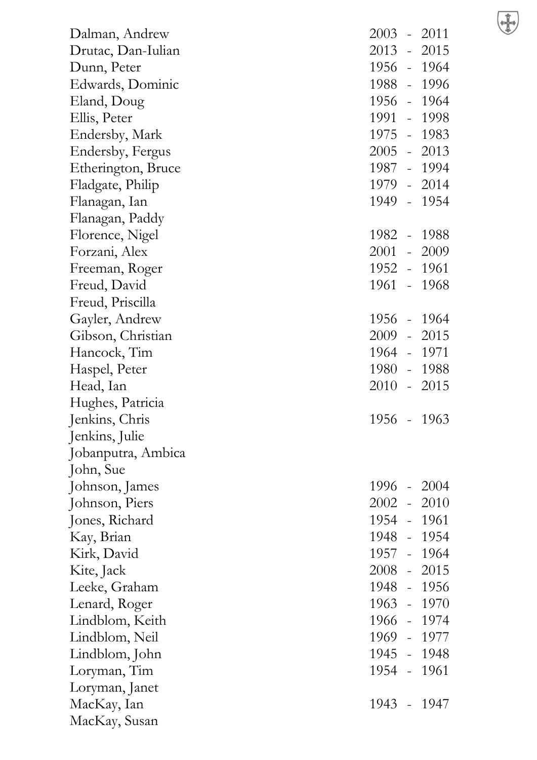$\bigoplus$ 

| Dalman, Andrew     | $2003 - 2011$ |
|--------------------|---------------|
| Drutac, Dan-Iulian | 2013 - 2015   |
| Dunn, Peter        | 1956 - 1964   |
| Edwards, Dominic   | 1988 - 1996   |
| Eland, Doug        | 1956 - 1964   |
| Ellis, Peter       | 1991 - 1998   |
| Endersby, Mark     | 1975 - 1983   |
| Endersby, Fergus   | $2005 - 2013$ |
| Etherington, Bruce | 1987 - 1994   |
| Fladgate, Philip   | 1979 - 2014   |
| Flanagan, Ian      | 1949 - 1954   |
| Flanagan, Paddy    |               |
| Florence, Nigel    | 1982 - 1988   |
| Forzani, Alex      | 2001 - 2009   |
| Freeman, Roger     | 1952 - 1961   |
| Freud, David       | 1961 - 1968   |
| Freud, Priscilla   |               |
| Gayler, Andrew     | 1956 - 1964   |
| Gibson, Christian  | $2009 - 2015$ |
| Hancock, Tim       | 1964 - 1971   |
| Haspel, Peter      | 1980 - 1988   |
| Head, Ian          | $2010 - 2015$ |
| Hughes, Patricia   |               |
| Jenkins, Chris     | 1956 - 1963   |
| Jenkins, Julie     |               |
| Jobanputra, Ambica |               |
| John, Sue          |               |
| Johnson, James     | 1996 - 2004   |
| Johnson, Piers     | $2002 - 2010$ |
| Jones, Richard     | 1954 - 1961   |
| Kay, Brian         | 1948 - 1954   |
| Kirk, David        | 1957 - 1964   |
| Kite, Jack         | $2008 - 2015$ |
| Leeke, Graham      | 1948 - 1956   |
| Lenard, Roger      | 1963 - 1970   |
| Lindblom, Keith    | 1966 - 1974   |
| Lindblom, Neil     | 1969 - 1977   |
| Lindblom, John     | 1945 - 1948   |
| Loryman, Tim       | 1954 - 1961   |
| Loryman, Janet     |               |
| MacKay, Ian        | 1943 - 1947   |
| MacKay, Susan      |               |